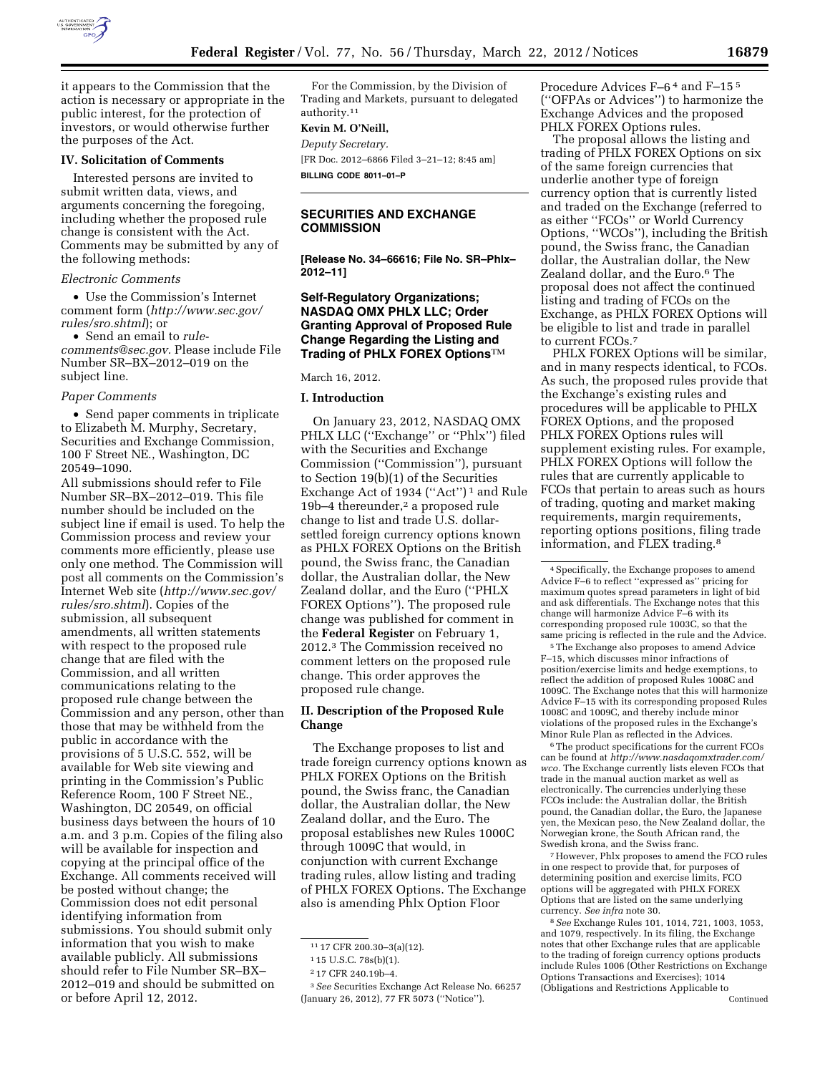

it appears to the Commission that the action is necessary or appropriate in the public interest, for the protection of investors, or would otherwise further the purposes of the Act.

### **IV. Solicitation of Comments**

Interested persons are invited to submit written data, views, and arguments concerning the foregoing, including whether the proposed rule change is consistent with the Act. Comments may be submitted by any of the following methods:

#### *Electronic Comments*

• Use the Commission's Internet comment form (*[http://www.sec.gov/](http://www.sec.gov/rules/sro.shtml)  [rules/sro.shtml](http://www.sec.gov/rules/sro.shtml)*); or

• Send an email to *[rule](mailto:rule-comments@sec.gov)[comments@sec.gov.](mailto:rule-comments@sec.gov)* Please include File Number SR–BX–2012–019 on the subject line.

#### *Paper Comments*

• Send paper comments in triplicate to Elizabeth M. Murphy, Secretary, Securities and Exchange Commission, 100 F Street NE., Washington, DC 20549–1090.

All submissions should refer to File Number SR–BX–2012–019. This file number should be included on the subject line if email is used. To help the Commission process and review your comments more efficiently, please use only one method. The Commission will post all comments on the Commission's Internet Web site (*[http://www.sec.gov/](http://www.sec.gov/rules/sro.shtml)  [rules/sro.shtml](http://www.sec.gov/rules/sro.shtml)*). Copies of the submission, all subsequent amendments, all written statements with respect to the proposed rule change that are filed with the Commission, and all written communications relating to the proposed rule change between the Commission and any person, other than those that may be withheld from the public in accordance with the provisions of 5 U.S.C. 552, will be available for Web site viewing and printing in the Commission's Public Reference Room, 100 F Street NE., Washington, DC 20549, on official business days between the hours of 10 a.m. and 3 p.m. Copies of the filing also will be available for inspection and copying at the principal office of the Exchange. All comments received will be posted without change; the Commission does not edit personal identifying information from submissions. You should submit only information that you wish to make available publicly. All submissions should refer to File Number SR–BX– 2012–019 and should be submitted on or before April 12, 2012.

For the Commission, by the Division of Trading and Markets, pursuant to delegated authority.11

#### **Kevin M. O'Neill,**

*Deputy Secretary.*  [FR Doc. 2012–6866 Filed 3–21–12; 8:45 am]

**BILLING CODE 8011–01–P** 

# **SECURITIES AND EXCHANGE COMMISSION**

**[Release No. 34–66616; File No. SR–Phlx– 2012–11]** 

# **Self-Regulatory Organizations; NASDAQ OMX PHLX LLC; Order Granting Approval of Proposed Rule Change Regarding the Listing and Trading of PHLX FOREX Options**TM

#### March 16, 2012.

#### **I. Introduction**

On January 23, 2012, NASDAQ OMX PHLX LLC (''Exchange'' or ''Phlx'') filed with the Securities and Exchange Commission (''Commission''), pursuant to Section 19(b)(1) of the Securities Exchange Act of 1934 (''Act'') 1 and Rule 19b-4 thereunder,<sup>2</sup> a proposed rule change to list and trade U.S. dollarsettled foreign currency options known as PHLX FOREX Options on the British pound, the Swiss franc, the Canadian dollar, the Australian dollar, the New Zealand dollar, and the Euro (''PHLX FOREX Options''). The proposed rule change was published for comment in the **Federal Register** on February 1, 2012.3 The Commission received no comment letters on the proposed rule change. This order approves the proposed rule change.

### **II. Description of the Proposed Rule Change**

The Exchange proposes to list and trade foreign currency options known as PHLX FOREX Options on the British pound, the Swiss franc, the Canadian dollar, the Australian dollar, the New Zealand dollar, and the Euro. The proposal establishes new Rules 1000C through 1009C that would, in conjunction with current Exchange trading rules, allow listing and trading of PHLX FOREX Options. The Exchange also is amending Phlx Option Floor

Procedure Advices F–6 4 and F–15 5 (''OFPAs or Advices'') to harmonize the Exchange Advices and the proposed PHLX FOREX Options rules.

The proposal allows the listing and trading of PHLX FOREX Options on six of the same foreign currencies that underlie another type of foreign currency option that is currently listed and traded on the Exchange (referred to as either ''FCOs'' or World Currency Options, ''WCOs''), including the British pound, the Swiss franc, the Canadian dollar, the Australian dollar, the New Zealand dollar, and the Euro.6 The proposal does not affect the continued listing and trading of FCOs on the Exchange, as PHLX FOREX Options will be eligible to list and trade in parallel to current FCOs.7

PHLX FOREX Options will be similar, and in many respects identical, to FCOs. As such, the proposed rules provide that the Exchange's existing rules and procedures will be applicable to PHLX FOREX Options, and the proposed PHLX FOREX Options rules will supplement existing rules. For example, PHLX FOREX Options will follow the rules that are currently applicable to FCOs that pertain to areas such as hours of trading, quoting and market making requirements, margin requirements, reporting options positions, filing trade information, and FLEX trading.8

<sup>5</sup>The Exchange also proposes to amend Advice F–15, which discusses minor infractions of position/exercise limits and hedge exemptions, to reflect the addition of proposed Rules 1008C and 1009C. The Exchange notes that this will harmonize Advice F–15 with its corresponding proposed Rules 1008C and 1009C, and thereby include minor violations of the proposed rules in the Exchange's Minor Rule Plan as reflected in the Advices.

6The product specifications for the current FCOs can be found at *[http://www.nasdaqomxtrader.com/](http://www.nasdaqomxtrader.com/wco)  [wco.](http://www.nasdaqomxtrader.com/wco)* The Exchange currently lists eleven FCOs that trade in the manual auction market as well as electronically. The currencies underlying these FCOs include: the Australian dollar, the British pound, the Canadian dollar, the Euro, the Japanese yen, the Mexican peso, the New Zealand dollar, the Norwegian krone, the South African rand, the Swedish krona, and the Swiss franc.

7However, Phlx proposes to amend the FCO rules in one respect to provide that, for purposes of determining position and exercise limits, FCO options will be aggregated with PHLX FOREX Options that are listed on the same underlying currency. *See infra* note 30.

<sup>11</sup> 17 CFR 200.30–3(a)(12).

<sup>1</sup> 15 U.S.C. 78s(b)(1).

<sup>2</sup> 17 CFR 240.19b–4.

<sup>3</sup>*See* Securities Exchange Act Release No. 66257 (January 26, 2012), 77 FR 5073 (''Notice'').

<sup>4</sup>Specifically, the Exchange proposes to amend Advice F–6 to reflect ''expressed as'' pricing for maximum quotes spread parameters in light of bid and ask differentials. The Exchange notes that this change will harmonize Advice F–6 with its corresponding proposed rule 1003C, so that the same pricing is reflected in the rule and the Advice.

<sup>8</sup>*See* Exchange Rules 101, 1014, 721, 1003, 1053, and 1079, respectively. In its filing, the Exchange notes that other Exchange rules that are applicable to the trading of foreign currency options products include Rules 1006 (Other Restrictions on Exchange Options Transactions and Exercises); 1014 (Obligations and Restrictions Applicable to Continued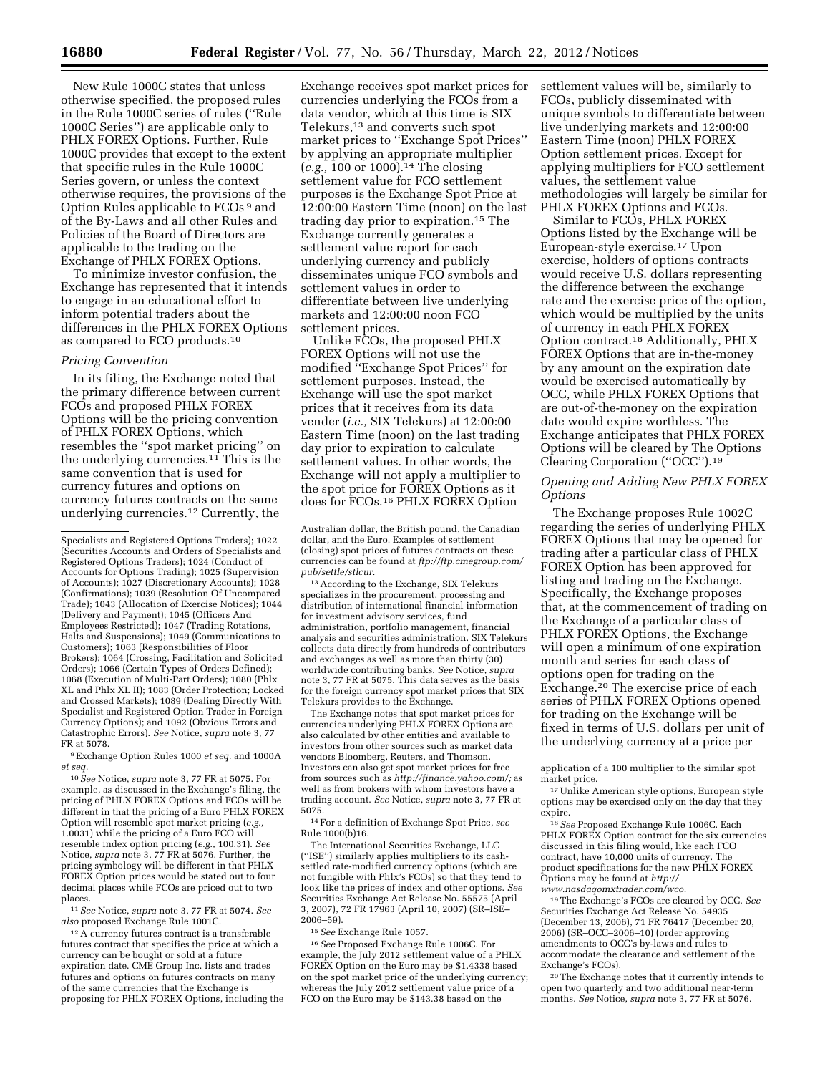New Rule 1000C states that unless otherwise specified, the proposed rules in the Rule 1000C series of rules (''Rule 1000C Series'') are applicable only to PHLX FOREX Options. Further, Rule 1000C provides that except to the extent that specific rules in the Rule 1000C Series govern, or unless the context otherwise requires, the provisions of the Option Rules applicable to FCOs 9 and of the By-Laws and all other Rules and Policies of the Board of Directors are applicable to the trading on the Exchange of PHLX FOREX Options.

To minimize investor confusion, the Exchange has represented that it intends to engage in an educational effort to inform potential traders about the differences in the PHLX FOREX Options as compared to FCO products.10

#### *Pricing Convention*

In its filing, the Exchange noted that the primary difference between current FCOs and proposed PHLX FOREX Options will be the pricing convention of PHLX FOREX Options, which resembles the ''spot market pricing'' on the underlying currencies.11 This is the same convention that is used for currency futures and options on currency futures contracts on the same underlying currencies.12 Currently, the

9Exchange Option Rules 1000 *et seq.* and 1000A *et seq.* 

10*See* Notice, *supra* note 3, 77 FR at 5075. For example, as discussed in the Exchange's filing, the pricing of PHLX FOREX Options and FCOs will be different in that the pricing of a Euro PHLX FOREX Option will resemble spot market pricing (*e.g.,*  1.0031) while the pricing of a Euro FCO will resemble index option pricing (*e.g.,* 100.31). *See*  Notice, *supra* note 3, 77 FR at 5076. Further, the pricing symbology will be different in that PHLX FOREX Option prices would be stated out to four decimal places while FCOs are priced out to two places.

11*See* Notice, *supra* note 3, 77 FR at 5074. *See also* proposed Exchange Rule 1001C.

12A currency futures contract is a transferable futures contract that specifies the price at which a currency can be bought or sold at a future expiration date. CME Group Inc. lists and trades futures and options on futures contracts on many of the same currencies that the Exchange is proposing for PHLX FOREX Options, including the

Exchange receives spot market prices for currencies underlying the FCOs from a data vendor, which at this time is SIX Telekurs,13 and converts such spot market prices to ''Exchange Spot Prices'' by applying an appropriate multiplier (*e.g.,* 100 or 1000).14 The closing settlement value for FCO settlement purposes is the Exchange Spot Price at 12:00:00 Eastern Time (noon) on the last trading day prior to expiration.15 The Exchange currently generates a settlement value report for each underlying currency and publicly disseminates unique FCO symbols and settlement values in order to differentiate between live underlying markets and 12:00:00 noon FCO settlement prices.

Unlike FCOs, the proposed PHLX FOREX Options will not use the modified ''Exchange Spot Prices'' for settlement purposes. Instead, the Exchange will use the spot market prices that it receives from its data vender (*i.e.,* SIX Telekurs) at 12:00:00 Eastern Time (noon) on the last trading day prior to expiration to calculate settlement values. In other words, the Exchange will not apply a multiplier to the spot price for FOREX Options as it does for FCOs.16 PHLX FOREX Option

13According to the Exchange, SIX Telekurs specializes in the procurement, processing and distribution of international financial information for investment advisory services, fund administration, portfolio management, financial analysis and securities administration. SIX Telekurs collects data directly from hundreds of contributors and exchanges as well as more than thirty (30) worldwide contributing banks. *See* Notice, *supra*  note 3, 77 FR at 5075. This data serves as the basis for the foreign currency spot market prices that SIX Telekurs provides to the Exchange.

The Exchange notes that spot market prices for currencies underlying PHLX FOREX Options are also calculated by other entities and available to investors from other sources such as market data vendors Bloomberg, Reuters, and Thomson. Investors can also get spot market prices for free from sources such as *[http://finance.yahoo.com/;](http://finance.yahoo.com/)* as well as from brokers with whom investors have a trading account. *See* Notice, *supra* note 3, 77 FR at 5075.

14For a definition of Exchange Spot Price, *see*  Rule 1000(b)16.

The International Securities Exchange, LLC (''ISE'') similarly applies multipliers to its cashsettled rate-modified currency options (which are not fungible with Phlx's FCOs) so that they tend to look like the prices of index and other options. *See*  Securities Exchange Act Release No. 55575 (April 3, 2007), 72 FR 17963 (April 10, 2007) (SR–ISE– 2006–59).

15*See* Exchange Rule 1057.

16*See* Proposed Exchange Rule 1006C. For example, the July 2012 settlement value of a PHLX FOREX Option on the Euro may be \$1.4338 based on the spot market price of the underlying currency; whereas the July 2012 settlement value price of a FCO on the Euro may be \$143.38 based on the

settlement values will be, similarly to FCOs, publicly disseminated with unique symbols to differentiate between live underlying markets and 12:00:00 Eastern Time (noon) PHLX FOREX Option settlement prices. Except for applying multipliers for FCO settlement values, the settlement value methodologies will largely be similar for PHLX FOREX Options and FCOs.

Similar to FCOs, PHLX FOREX Options listed by the Exchange will be European-style exercise.17 Upon exercise, holders of options contracts would receive U.S. dollars representing the difference between the exchange rate and the exercise price of the option, which would be multiplied by the units of currency in each PHLX FOREX Option contract.18 Additionally, PHLX FOREX Options that are in-the-money by any amount on the expiration date would be exercised automatically by OCC, while PHLX FOREX Options that are out-of-the-money on the expiration date would expire worthless. The Exchange anticipates that PHLX FOREX Options will be cleared by The Options Clearing Corporation (''OCC'').19

### *Opening and Adding New PHLX FOREX Options*

The Exchange proposes Rule 1002C regarding the series of underlying PHLX FOREX Options that may be opened for trading after a particular class of PHLX FOREX Option has been approved for listing and trading on the Exchange. Specifically, the Exchange proposes that, at the commencement of trading on the Exchange of a particular class of PHLX FOREX Options, the Exchange will open a minimum of one expiration month and series for each class of options open for trading on the Exchange.20 The exercise price of each series of PHLX FOREX Options opened for trading on the Exchange will be fixed in terms of U.S. dollars per unit of the underlying currency at a price per

17Unlike American style options, European style options may be exercised only on the day that they expire.

18*See* Proposed Exchange Rule 1006C. Each PHLX FOREX Option contract for the six currencies discussed in this filing would, like each FCO contract, have 10,000 units of currency. The product specifications for the new PHLX FOREX Options may be found at *[http://](http://www.nasdaqomxtrader.com/wco)  [www.nasdaqomxtrader.com/wco](http://www.nasdaqomxtrader.com/wco)*.

19The Exchange's FCOs are cleared by OCC. *See*  Securities Exchange Act Release No. 54935 (December 13, 2006), 71 FR 76417 (December 20, 2006) (SR–OCC–2006–10) (order approving amendments to OCC's by-laws and rules to accommodate the clearance and settlement of the Exchange's FCOs).

20The Exchange notes that it currently intends to open two quarterly and two additional near-term months. *See* Notice, *supra* note 3, 77 FR at 5076.

Specialists and Registered Options Traders); 1022 (Securities Accounts and Orders of Specialists and Registered Options Traders); 1024 (Conduct of Accounts for Options Trading); 1025 (Supervision of Accounts); 1027 (Discretionary Accounts); 1028 (Confirmations); 1039 (Resolution Of Uncompared Trade); 1043 (Allocation of Exercise Notices); 1044 (Delivery and Payment); 1045 (Officers And Employees Restricted); 1047 (Trading Rotations, Halts and Suspensions); 1049 (Communications to Customers); 1063 (Responsibilities of Floor Brokers); 1064 (Crossing, Facilitation and Solicited Orders); 1066 (Certain Types of Orders Defined); 1068 (Execution of Multi-Part Orders); 1080 (Phlx XL and Phlx XL II); 1083 (Order Protection; Locked and Crossed Markets); 1089 (Dealing Directly With Specialist and Registered Option Trader in Foreign Currency Options); and 1092 (Obvious Errors and Catastrophic Errors). *See* Notice, *supra* note 3, 77 FR at 5078.

Australian dollar, the British pound, the Canadian dollar, and the Euro. Examples of settlement (closing) spot prices of futures contracts on these currencies can be found at *ftp://ftp.cmegroup.com/ pub/settle/stlcur*.

application of a 100 multiplier to the similar spot market price.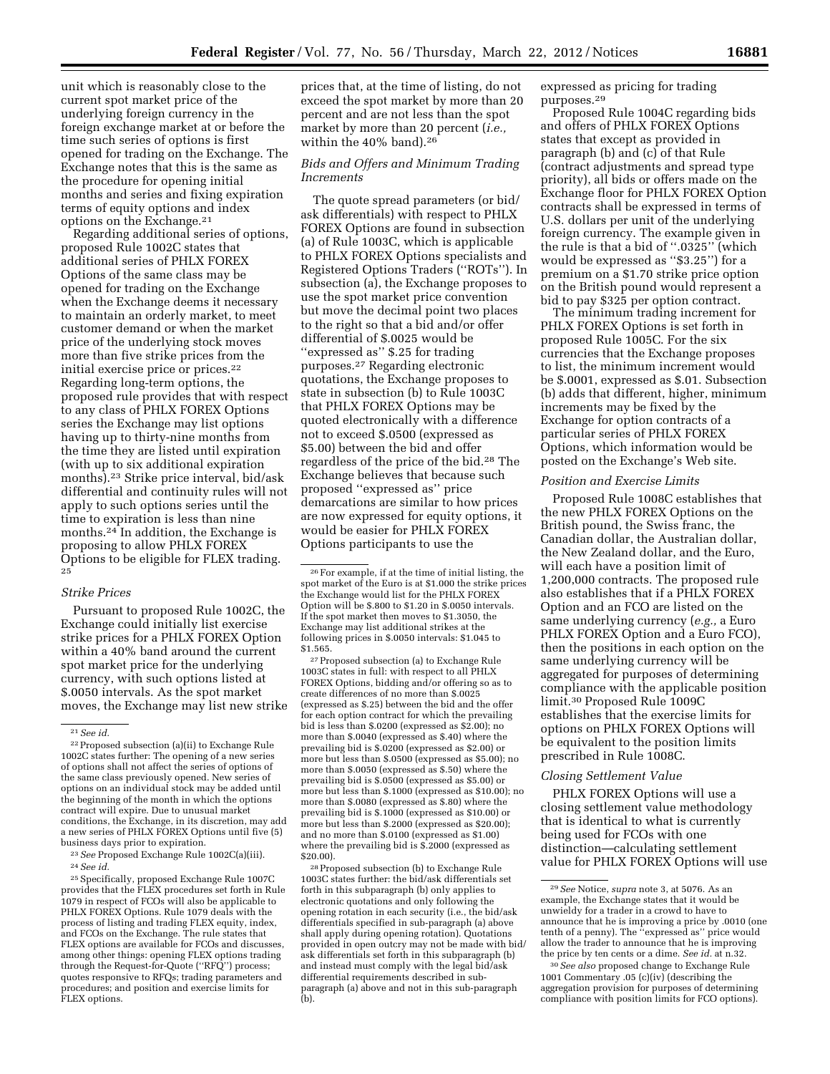unit which is reasonably close to the current spot market price of the underlying foreign currency in the foreign exchange market at or before the time such series of options is first opened for trading on the Exchange. The Exchange notes that this is the same as the procedure for opening initial months and series and fixing expiration terms of equity options and index options on the Exchange.21

Regarding additional series of options, proposed Rule 1002C states that additional series of PHLX FOREX Options of the same class may be opened for trading on the Exchange when the Exchange deems it necessary to maintain an orderly market, to meet customer demand or when the market price of the underlying stock moves more than five strike prices from the initial exercise price or prices.22 Regarding long-term options, the proposed rule provides that with respect to any class of PHLX FOREX Options series the Exchange may list options having up to thirty-nine months from the time they are listed until expiration (with up to six additional expiration months).23 Strike price interval, bid/ask differential and continuity rules will not apply to such options series until the time to expiration is less than nine months.24 In addition, the Exchange is proposing to allow PHLX FOREX Options to be eligible for FLEX trading. 25

#### *Strike Prices*

Pursuant to proposed Rule 1002C, the Exchange could initially list exercise strike prices for a PHLX FOREX Option within a 40% band around the current spot market price for the underlying currency, with such options listed at \$.0050 intervals. As the spot market moves, the Exchange may list new strike

22Proposed subsection (a)(ii) to Exchange Rule 1002C states further: The opening of a new series of options shall not affect the series of options of the same class previously opened. New series of options on an individual stock may be added until the beginning of the month in which the options contract will expire. Due to unusual market conditions, the Exchange, in its discretion, may add a new series of PHLX FOREX Options until five (5) business days prior to expiration.

23*See* Proposed Exchange Rule 1002C(a)(iii).

25Specifically, proposed Exchange Rule 1007C provides that the FLEX procedures set forth in Rule 1079 in respect of FCOs will also be applicable to PHLX FOREX Options. Rule 1079 deals with the process of listing and trading FLEX equity, index, and FCOs on the Exchange. The rule states that FLEX options are available for FCOs and discusses, among other things: opening FLEX options trading through the Request-for-Quote (''RFQ'') process; quotes responsive to RFQs; trading parameters and procedures; and position and exercise limits for FLEX options.

prices that, at the time of listing, do not exceed the spot market by more than 20 percent and are not less than the spot market by more than 20 percent (*i.e.,*  within the 40% band).26

### *Bids and Offers and Minimum Trading Increments*

The quote spread parameters (or bid/ ask differentials) with respect to PHLX FOREX Options are found in subsection (a) of Rule 1003C, which is applicable to PHLX FOREX Options specialists and Registered Options Traders (''ROTs''). In subsection (a), the Exchange proposes to use the spot market price convention but move the decimal point two places to the right so that a bid and/or offer differential of \$.0025 would be ''expressed as'' \$.25 for trading purposes.27 Regarding electronic quotations, the Exchange proposes to state in subsection (b) to Rule 1003C that PHLX FOREX Options may be quoted electronically with a difference not to exceed \$.0500 (expressed as \$5.00) between the bid and offer regardless of the price of the bid.28 The Exchange believes that because such proposed ''expressed as'' price demarcations are similar to how prices are now expressed for equity options, it would be easier for PHLX FOREX Options participants to use the

27Proposed subsection (a) to Exchange Rule 1003C states in full: with respect to all PHLX FOREX Options, bidding and/or offering so as to create differences of no more than \$.0025 (expressed as \$.25) between the bid and the offer for each option contract for which the prevailing bid is less than \$.0200 (expressed as \$2.00); no more than \$.0040 (expressed as \$.40) where the prevailing bid is \$.0200 (expressed as \$2.00) or more but less than \$.0500 (expressed as \$5.00); no more than \$.0050 (expressed as \$.50) where the prevailing bid is \$.0500 (expressed as \$5.00) or more but less than \$.1000 (expressed as \$10.00); no more than \$.0080 (expressed as \$.80) where the prevailing bid is \$.1000 (expressed as \$10.00) or more but less than \$.2000 (expressed as \$20.00); and no more than \$.0100 (expressed as \$1.00) where the prevailing bid is \$.2000 (expressed as \$20.00).

28Proposed subsection (b) to Exchange Rule 1003C states further: the bid/ask differentials set forth in this subparagraph (b) only applies to electronic quotations and only following the opening rotation in each security (i.e., the bid/ask differentials specified in sub-paragraph (a) above shall apply during opening rotation). Quotations provided in open outcry may not be made with bid/ ask differentials set forth in this subparagraph (b) and instead must comply with the legal bid/ask differential requirements described in subparagraph (a) above and not in this sub-paragraph (b).

expressed as pricing for trading purposes.29

Proposed Rule 1004C regarding bids and offers of PHLX FOREX Options states that except as provided in paragraph (b) and (c) of that Rule (contract adjustments and spread type priority), all bids or offers made on the Exchange floor for PHLX FOREX Option contracts shall be expressed in terms of U.S. dollars per unit of the underlying foreign currency. The example given in the rule is that a bid of ''.0325'' (which would be expressed as ''\$3.25'') for a premium on a \$1.70 strike price option on the British pound would represent a bid to pay \$325 per option contract.

The minimum trading increment for PHLX FOREX Options is set forth in proposed Rule 1005C. For the six currencies that the Exchange proposes to list, the minimum increment would be \$.0001, expressed as \$.01. Subsection (b) adds that different, higher, minimum increments may be fixed by the Exchange for option contracts of a particular series of PHLX FOREX Options, which information would be posted on the Exchange's Web site.

#### *Position and Exercise Limits*

Proposed Rule 1008C establishes that the new PHLX FOREX Options on the British pound, the Swiss franc, the Canadian dollar, the Australian dollar, the New Zealand dollar, and the Euro, will each have a position limit of 1,200,000 contracts. The proposed rule also establishes that if a PHLX FOREX Option and an FCO are listed on the same underlying currency (*e.g.,* a Euro PHLX FOREX Option and a Euro FCO), then the positions in each option on the same underlying currency will be aggregated for purposes of determining compliance with the applicable position limit.30 Proposed Rule 1009C establishes that the exercise limits for options on PHLX FOREX Options will be equivalent to the position limits prescribed in Rule 1008C.

### *Closing Settlement Value*

PHLX FOREX Options will use a closing settlement value methodology that is identical to what is currently being used for FCOs with one distinction—calculating settlement value for PHLX FOREX Options will use

<sup>21</sup>*See id.* 

<sup>24</sup>*See id.* 

<sup>26</sup>For example, if at the time of initial listing, the spot market of the Euro is at \$1.000 the strike prices the Exchange would list for the PHLX FOREX Option will be \$.800 to \$1.20 in \$.0050 intervals. If the spot market then moves to \$1.3050, the Exchange may list additional strikes at the following prices in \$.0050 intervals: \$1.045 to \$1.565.

<sup>29</sup>*See* Notice, *supra* note 3, at 5076. As an example, the Exchange states that it would be unwieldy for a trader in a crowd to have to announce that he is improving a price by .0010 (one tenth of a penny). The ''expressed as'' price would allow the trader to announce that he is improving the price by ten cents or a dime. *See id.* at n.32.

<sup>30</sup>*See also* proposed change to Exchange Rule 1001 Commentary .05 (c)(iv) (describing the aggregation provision for purposes of determining compliance with position limits for FCO options).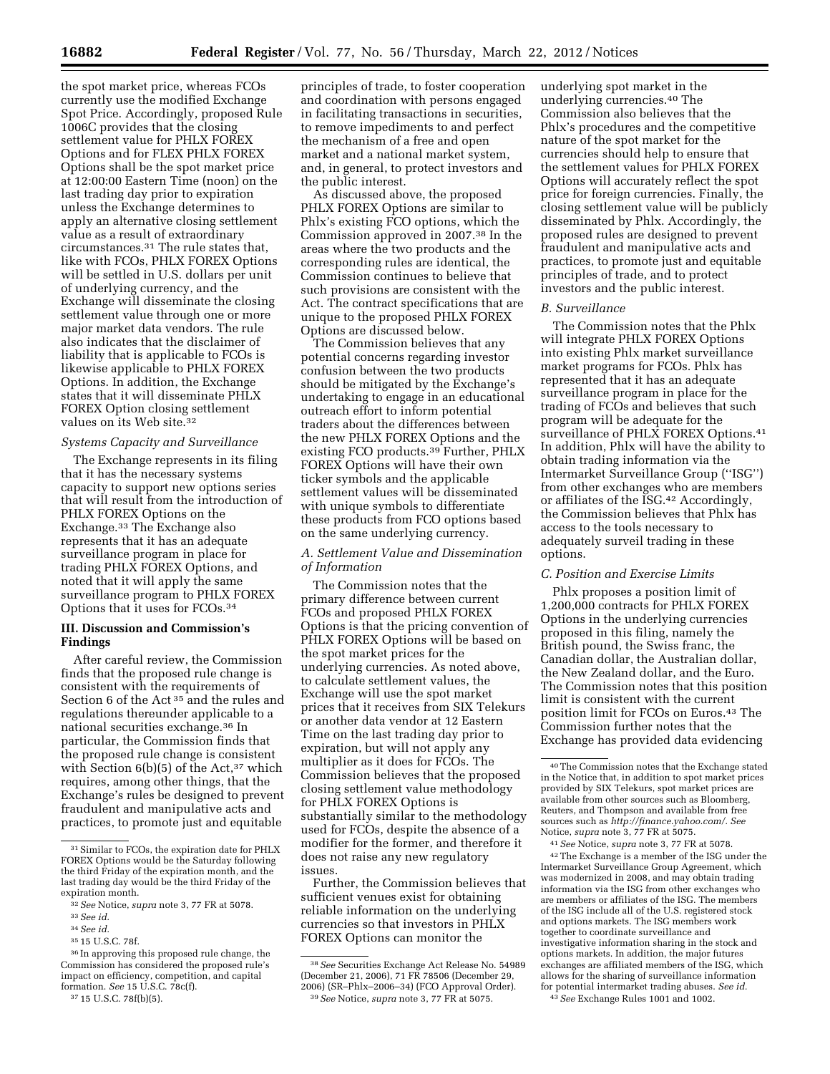the spot market price, whereas FCOs currently use the modified Exchange Spot Price. Accordingly, proposed Rule 1006C provides that the closing settlement value for PHLX FOREX Options and for FLEX PHLX FOREX Options shall be the spot market price at 12:00:00 Eastern Time (noon) on the last trading day prior to expiration unless the Exchange determines to apply an alternative closing settlement value as a result of extraordinary circumstances.31 The rule states that, like with FCOs, PHLX FOREX Options will be settled in U.S. dollars per unit of underlying currency, and the Exchange will disseminate the closing settlement value through one or more major market data vendors. The rule also indicates that the disclaimer of liability that is applicable to FCOs is likewise applicable to PHLX FOREX Options. In addition, the Exchange states that it will disseminate PHLX FOREX Option closing settlement values on its Web site.<sup>32</sup>

### *Systems Capacity and Surveillance*

The Exchange represents in its filing that it has the necessary systems capacity to support new options series that will result from the introduction of PHLX FOREX Options on the Exchange.33 The Exchange also represents that it has an adequate surveillance program in place for trading PHLX FOREX Options, and noted that it will apply the same surveillance program to PHLX FOREX Options that it uses for FCOs.34

### **III. Discussion and Commission's Findings**

After careful review, the Commission finds that the proposed rule change is consistent with the requirements of Section 6 of the Act 35 and the rules and regulations thereunder applicable to a national securities exchange.36 In particular, the Commission finds that the proposed rule change is consistent with Section  $6(b)(5)$  of the Act,<sup>37</sup> which requires, among other things, that the Exchange's rules be designed to prevent fraudulent and manipulative acts and practices, to promote just and equitable

37 15 U.S.C. 78f(b)(5).

principles of trade, to foster cooperation and coordination with persons engaged in facilitating transactions in securities, to remove impediments to and perfect the mechanism of a free and open market and a national market system, and, in general, to protect investors and the public interest.

As discussed above, the proposed PHLX FOREX Options are similar to Phlx's existing FCO options, which the Commission approved in 2007.38 In the areas where the two products and the corresponding rules are identical, the Commission continues to believe that such provisions are consistent with the Act. The contract specifications that are unique to the proposed PHLX FOREX Options are discussed below.

The Commission believes that any potential concerns regarding investor confusion between the two products should be mitigated by the Exchange's undertaking to engage in an educational outreach effort to inform potential traders about the differences between the new PHLX FOREX Options and the existing FCO products.39 Further, PHLX FOREX Options will have their own ticker symbols and the applicable settlement values will be disseminated with unique symbols to differentiate these products from FCO options based on the same underlying currency.

# *A. Settlement Value and Dissemination of Information*

The Commission notes that the primary difference between current FCOs and proposed PHLX FOREX Options is that the pricing convention of PHLX FOREX Options will be based on the spot market prices for the underlying currencies. As noted above, to calculate settlement values, the Exchange will use the spot market prices that it receives from SIX Telekurs or another data vendor at 12 Eastern Time on the last trading day prior to expiration, but will not apply any multiplier as it does for FCOs. The Commission believes that the proposed closing settlement value methodology for PHLX FOREX Options is substantially similar to the methodology used for FCOs, despite the absence of a modifier for the former, and therefore it does not raise any new regulatory issues.

Further, the Commission believes that sufficient venues exist for obtaining reliable information on the underlying currencies so that investors in PHLX FOREX Options can monitor the

underlying spot market in the underlying currencies.40 The Commission also believes that the Phlx's procedures and the competitive nature of the spot market for the currencies should help to ensure that the settlement values for PHLX FOREX Options will accurately reflect the spot price for foreign currencies. Finally, the closing settlement value will be publicly disseminated by Phlx. Accordingly, the proposed rules are designed to prevent fraudulent and manipulative acts and practices, to promote just and equitable principles of trade, and to protect investors and the public interest.

### *B. Surveillance*

The Commission notes that the Phlx will integrate PHLX FOREX Options into existing Phlx market surveillance market programs for FCOs. Phlx has represented that it has an adequate surveillance program in place for the trading of FCOs and believes that such program will be adequate for the surveillance of PHLX FOREX Options.<sup>41</sup> In addition, Phlx will have the ability to obtain trading information via the Intermarket Surveillance Group (''ISG'') from other exchanges who are members or affiliates of the ISG.42 Accordingly, the Commission believes that Phlx has access to the tools necessary to adequately surveil trading in these options.

#### *C. Position and Exercise Limits*

Phlx proposes a position limit of 1,200,000 contracts for PHLX FOREX Options in the underlying currencies proposed in this filing, namely the British pound, the Swiss franc, the Canadian dollar, the Australian dollar, the New Zealand dollar, and the Euro. The Commission notes that this position limit is consistent with the current position limit for FCOs on Euros.43 The Commission further notes that the Exchange has provided data evidencing

41*See* Notice, *supra* note 3, 77 FR at 5078. 42The Exchange is a member of the ISG under the Intermarket Surveillance Group Agreement, which was modernized in 2008, and may obtain trading information via the ISG from other exchanges who are members or affiliates of the ISG. The members of the ISG include all of the U.S. registered stock and options markets. The ISG members work together to coordinate surveillance and investigative information sharing in the stock and options markets. In addition, the major futures exchanges are affiliated members of the ISG, which allows for the sharing of surveillance information for potential intermarket trading abuses. *See id.*  43*See* Exchange Rules 1001 and 1002.

 $^{\rm 31}\,$  Similar to FCOs, the expiration date for PHLX FOREX Options would be the Saturday following the third Friday of the expiration month, and the last trading day would be the third Friday of the expiration month.

<sup>32</sup>*See* Notice, *supra* note 3, 77 FR at 5078.

<sup>33</sup>*See id.* 

<sup>34</sup>*See id.* 

<sup>35</sup> 15 U.S.C. 78f.

<sup>36</sup> In approving this proposed rule change, the Commission has considered the proposed rule's impact on efficiency, competition, and capital formation. *See* 15 U.S.C. 78c(f).

<sup>38</sup>*See* Securities Exchange Act Release No. 54989 (December 21, 2006), 71 FR 78506 (December 29, 2006) (SR–Phlx–2006–34) (FCO Approval Order). 39*See* Notice, *supra* note 3, 77 FR at 5075.

<sup>40</sup>The Commission notes that the Exchange stated in the Notice that, in addition to spot market prices provided by SIX Telekurs, spot market prices are available from other sources such as Bloomberg, Reuters, and Thompson and available from free sources such as *[http://finance.yahoo.com/.](http://finance.yahoo.com/) See*  Notice, *supra* note 3, 77 FR at 5075.